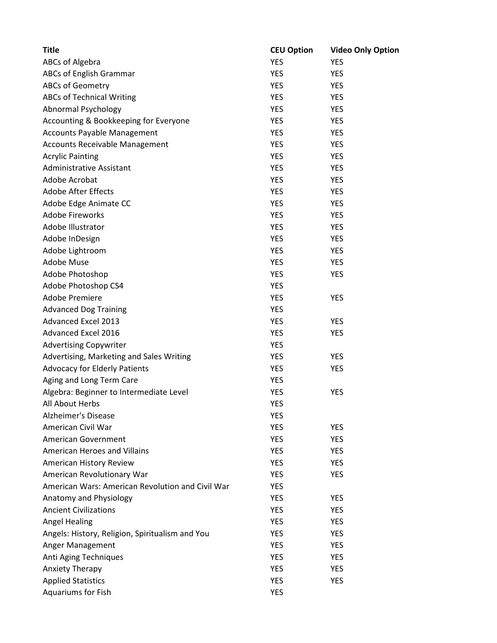| <b>Title</b>                                     | <b>CEU Option</b> | <b>Video Only Option</b> |
|--------------------------------------------------|-------------------|--------------------------|
| ABCs of Algebra                                  | <b>YES</b>        | <b>YES</b>               |
| ABCs of English Grammar                          | <b>YES</b>        | <b>YES</b>               |
| <b>ABCs of Geometry</b>                          | <b>YES</b>        | <b>YES</b>               |
| <b>ABCs of Technical Writing</b>                 | <b>YES</b>        | <b>YES</b>               |
| Abnormal Psychology                              | <b>YES</b>        | <b>YES</b>               |
| Accounting & Bookkeeping for Everyone            | <b>YES</b>        | <b>YES</b>               |
| <b>Accounts Payable Management</b>               | <b>YES</b>        | <b>YES</b>               |
| Accounts Receivable Management                   | <b>YES</b>        | <b>YES</b>               |
| <b>Acrylic Painting</b>                          | <b>YES</b>        | <b>YES</b>               |
| <b>Administrative Assistant</b>                  | <b>YES</b>        | <b>YES</b>               |
| Adobe Acrobat                                    | <b>YES</b>        | <b>YES</b>               |
| <b>Adobe After Effects</b>                       | <b>YES</b>        | <b>YES</b>               |
| Adobe Edge Animate CC                            | <b>YES</b>        | <b>YES</b>               |
| <b>Adobe Fireworks</b>                           | <b>YES</b>        | <b>YES</b>               |
| Adobe Illustrator                                | <b>YES</b>        | <b>YES</b>               |
| Adobe InDesign                                   | <b>YES</b>        | <b>YES</b>               |
| Adobe Lightroom                                  | <b>YES</b>        | <b>YES</b>               |
| <b>Adobe Muse</b>                                | <b>YES</b>        | <b>YES</b>               |
| Adobe Photoshop                                  | <b>YES</b>        | <b>YES</b>               |
| Adobe Photoshop CS4                              | <b>YES</b>        |                          |
| Adobe Premiere                                   | <b>YES</b>        | <b>YES</b>               |
| <b>Advanced Dog Training</b>                     | <b>YES</b>        |                          |
| <b>Advanced Excel 2013</b>                       | <b>YES</b>        | <b>YES</b>               |
| Advanced Excel 2016                              | <b>YES</b>        | <b>YES</b>               |
| <b>Advertising Copywriter</b>                    | <b>YES</b>        |                          |
| Advertising, Marketing and Sales Writing         | <b>YES</b>        | <b>YES</b>               |
| <b>Advocacy for Elderly Patients</b>             | <b>YES</b>        | <b>YES</b>               |
| Aging and Long Term Care                         | <b>YES</b>        |                          |
| Algebra: Beginner to Intermediate Level          | <b>YES</b>        | <b>YES</b>               |
| All About Herbs                                  | YES               |                          |
| Alzheimer's Disease                              | <b>YES</b>        |                          |
| American Civil War                               | <b>YES</b>        | <b>YES</b>               |
| American Government                              | <b>YES</b>        | <b>YES</b>               |
| American Heroes and Villains                     | <b>YES</b>        | <b>YES</b>               |
| American History Review                          | <b>YES</b>        | <b>YES</b>               |
| American Revolutionary War                       | <b>YES</b>        | <b>YES</b>               |
| American Wars: American Revolution and Civil War | <b>YES</b>        |                          |
| Anatomy and Physiology                           | <b>YES</b>        | <b>YES</b>               |
| <b>Ancient Civilizations</b>                     | <b>YES</b>        | <b>YES</b>               |
| <b>Angel Healing</b>                             | <b>YES</b>        | <b>YES</b>               |
| Angels: History, Religion, Spiritualism and You  | <b>YES</b>        | <b>YES</b>               |
| Anger Management                                 | <b>YES</b>        | <b>YES</b>               |
| Anti Aging Techniques                            | <b>YES</b>        | <b>YES</b>               |
| Anxiety Therapy                                  | <b>YES</b>        | <b>YES</b>               |
| <b>Applied Statistics</b>                        | <b>YES</b>        | <b>YES</b>               |
| Aquariums for Fish                               | <b>YES</b>        |                          |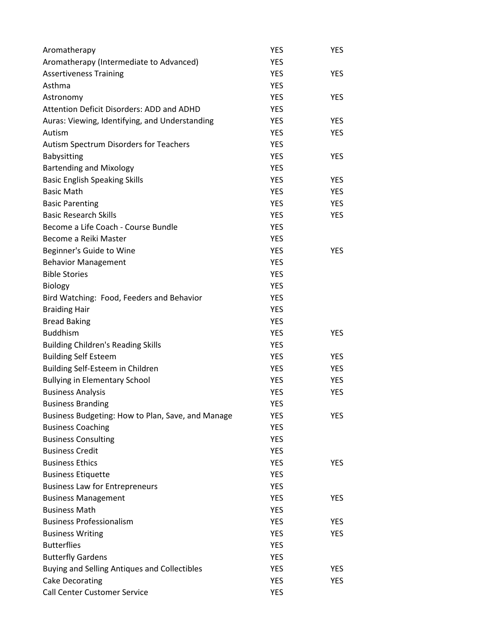| Aromatherapy                                        | <b>YES</b> | <b>YES</b> |
|-----------------------------------------------------|------------|------------|
| Aromatherapy (Intermediate to Advanced)             | <b>YES</b> |            |
| <b>Assertiveness Training</b>                       | <b>YES</b> | <b>YES</b> |
| Asthma                                              | <b>YES</b> |            |
| Astronomy                                           | <b>YES</b> | <b>YES</b> |
| Attention Deficit Disorders: ADD and ADHD           | <b>YES</b> |            |
| Auras: Viewing, Identifying, and Understanding      | <b>YES</b> | <b>YES</b> |
| Autism                                              | <b>YES</b> | <b>YES</b> |
| Autism Spectrum Disorders for Teachers              | <b>YES</b> |            |
| Babysitting                                         | <b>YES</b> | <b>YES</b> |
| <b>Bartending and Mixology</b>                      | <b>YES</b> |            |
| <b>Basic English Speaking Skills</b>                | <b>YES</b> | <b>YES</b> |
| <b>Basic Math</b>                                   | <b>YES</b> | <b>YES</b> |
| <b>Basic Parenting</b>                              | <b>YES</b> | <b>YES</b> |
| <b>Basic Research Skills</b>                        | <b>YES</b> | YES        |
| Become a Life Coach - Course Bundle                 | <b>YES</b> |            |
| Become a Reiki Master                               | <b>YES</b> |            |
| Beginner's Guide to Wine                            | <b>YES</b> | <b>YES</b> |
| <b>Behavior Management</b>                          | <b>YES</b> |            |
| <b>Bible Stories</b>                                | <b>YES</b> |            |
| <b>Biology</b>                                      | <b>YES</b> |            |
| Bird Watching: Food, Feeders and Behavior           | <b>YES</b> |            |
| <b>Braiding Hair</b>                                | <b>YES</b> |            |
| <b>Bread Baking</b>                                 | <b>YES</b> |            |
| <b>Buddhism</b>                                     | <b>YES</b> | <b>YES</b> |
| <b>Building Children's Reading Skills</b>           | <b>YES</b> |            |
| <b>Building Self Esteem</b>                         | <b>YES</b> | <b>YES</b> |
| Building Self-Esteem in Children                    | <b>YES</b> | <b>YES</b> |
| <b>Bullying in Elementary School</b>                | <b>YES</b> | <b>YES</b> |
| <b>Business Analysis</b>                            | <b>YES</b> | <b>YES</b> |
| <b>Business Branding</b>                            | <b>YES</b> |            |
| Business Budgeting: How to Plan, Save, and Manage   | YES        | <b>YES</b> |
| <b>Business Coaching</b>                            | <b>YES</b> |            |
| <b>Business Consulting</b>                          | <b>YES</b> |            |
| <b>Business Credit</b>                              | <b>YES</b> |            |
| <b>Business Ethics</b>                              | <b>YES</b> | <b>YES</b> |
| <b>Business Etiquette</b>                           | <b>YES</b> |            |
| <b>Business Law for Entrepreneurs</b>               | <b>YES</b> |            |
| <b>Business Management</b>                          | <b>YES</b> | <b>YES</b> |
| <b>Business Math</b>                                | <b>YES</b> |            |
| <b>Business Professionalism</b>                     | <b>YES</b> | <b>YES</b> |
| <b>Business Writing</b>                             | <b>YES</b> | <b>YES</b> |
| <b>Butterflies</b>                                  | <b>YES</b> |            |
| <b>Butterfly Gardens</b>                            | <b>YES</b> |            |
| <b>Buying and Selling Antiques and Collectibles</b> | <b>YES</b> | <b>YES</b> |
| <b>Cake Decorating</b>                              | <b>YES</b> | <b>YES</b> |
| <b>Call Center Customer Service</b>                 | <b>YES</b> |            |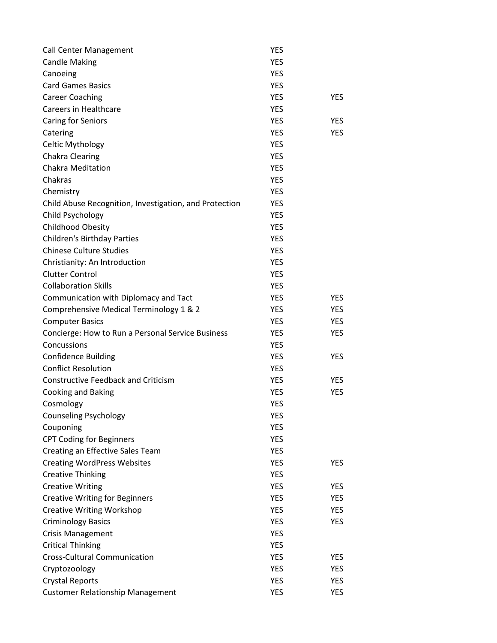| <b>Call Center Management</b>                          | <b>YES</b> |            |
|--------------------------------------------------------|------------|------------|
| <b>Candle Making</b>                                   | <b>YES</b> |            |
| Canoeing                                               | <b>YES</b> |            |
| <b>Card Games Basics</b>                               | <b>YES</b> |            |
| <b>Career Coaching</b>                                 | <b>YES</b> | <b>YES</b> |
| Careers in Healthcare                                  | <b>YES</b> |            |
| <b>Caring for Seniors</b>                              | <b>YES</b> | <b>YES</b> |
| Catering                                               | <b>YES</b> | <b>YES</b> |
| Celtic Mythology                                       | <b>YES</b> |            |
| <b>Chakra Clearing</b>                                 | <b>YES</b> |            |
| <b>Chakra Meditation</b>                               | <b>YES</b> |            |
| Chakras                                                | <b>YES</b> |            |
| Chemistry                                              | <b>YES</b> |            |
| Child Abuse Recognition, Investigation, and Protection | YES        |            |
| Child Psychology                                       | <b>YES</b> |            |
| Childhood Obesity                                      | <b>YES</b> |            |
| <b>Children's Birthday Parties</b>                     | <b>YES</b> |            |
| <b>Chinese Culture Studies</b>                         | <b>YES</b> |            |
| Christianity: An Introduction                          | <b>YES</b> |            |
| <b>Clutter Control</b>                                 | <b>YES</b> |            |
| <b>Collaboration Skills</b>                            | <b>YES</b> |            |
| Communication with Diplomacy and Tact                  | <b>YES</b> | <b>YES</b> |
| Comprehensive Medical Terminology 1 & 2                | <b>YES</b> | <b>YES</b> |
| <b>Computer Basics</b>                                 | <b>YES</b> | <b>YES</b> |
| Concierge: How to Run a Personal Service Business      | <b>YES</b> | <b>YES</b> |
| Concussions                                            | <b>YES</b> |            |
| <b>Confidence Building</b>                             | <b>YES</b> | <b>YES</b> |
| <b>Conflict Resolution</b>                             | <b>YES</b> |            |
| <b>Constructive Feedback and Criticism</b>             | <b>YES</b> | <b>YES</b> |
| Cooking and Baking                                     | <b>YES</b> | <b>YES</b> |
| Cosmology                                              | <b>YES</b> |            |
| <b>Counseling Psychology</b>                           | YES        |            |
| Couponing                                              | <b>YES</b> |            |
| <b>CPT Coding for Beginners</b>                        | <b>YES</b> |            |
| Creating an Effective Sales Team                       | <b>YES</b> |            |
| <b>Creating WordPress Websites</b>                     | <b>YES</b> | YES        |
| <b>Creative Thinking</b>                               | <b>YES</b> |            |
| <b>Creative Writing</b>                                | <b>YES</b> | YES        |
| <b>Creative Writing for Beginners</b>                  | <b>YES</b> | <b>YES</b> |
| <b>Creative Writing Workshop</b>                       | <b>YES</b> | <b>YES</b> |
| <b>Criminology Basics</b>                              | <b>YES</b> | <b>YES</b> |
| <b>Crisis Management</b>                               | <b>YES</b> |            |
| <b>Critical Thinking</b>                               | <b>YES</b> |            |
| <b>Cross-Cultural Communication</b>                    | <b>YES</b> | YES        |
| Cryptozoology                                          | <b>YES</b> | <b>YES</b> |
| <b>Crystal Reports</b>                                 | <b>YES</b> | <b>YES</b> |
| <b>Customer Relationship Management</b>                | <b>YES</b> | <b>YES</b> |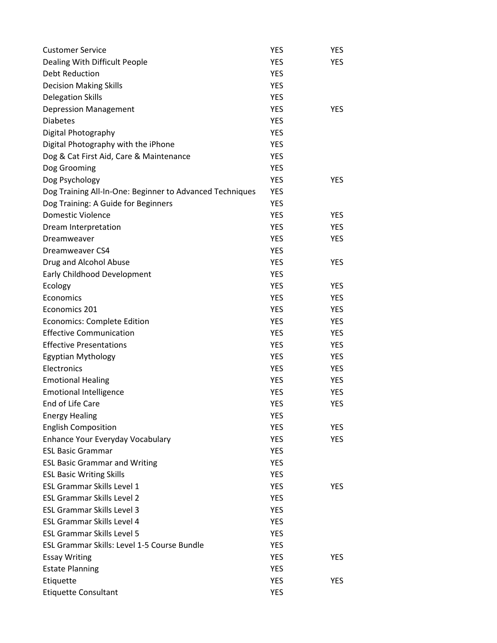| <b>Customer Service</b>                                  | YES        | <b>YES</b> |
|----------------------------------------------------------|------------|------------|
| Dealing With Difficult People                            | <b>YES</b> | <b>YES</b> |
| Debt Reduction                                           | <b>YES</b> |            |
| <b>Decision Making Skills</b>                            | <b>YES</b> |            |
| <b>Delegation Skills</b>                                 | <b>YES</b> |            |
| <b>Depression Management</b>                             | <b>YES</b> | <b>YES</b> |
| <b>Diabetes</b>                                          | <b>YES</b> |            |
| Digital Photography                                      | <b>YES</b> |            |
| Digital Photography with the iPhone                      | <b>YES</b> |            |
| Dog & Cat First Aid, Care & Maintenance                  | <b>YES</b> |            |
| Dog Grooming                                             | <b>YES</b> |            |
| Dog Psychology                                           | <b>YES</b> | <b>YES</b> |
| Dog Training All-In-One: Beginner to Advanced Techniques | <b>YES</b> |            |
| Dog Training: A Guide for Beginners                      | YES        |            |
| <b>Domestic Violence</b>                                 | <b>YES</b> | <b>YES</b> |
| Dream Interpretation                                     | <b>YES</b> | <b>YES</b> |
| Dreamweaver                                              | <b>YES</b> | <b>YES</b> |
| Dreamweaver CS4                                          | <b>YES</b> |            |
| Drug and Alcohol Abuse                                   | <b>YES</b> | <b>YES</b> |
| Early Childhood Development                              | <b>YES</b> |            |
| Ecology                                                  | <b>YES</b> | <b>YES</b> |
| Economics                                                | <b>YES</b> | <b>YES</b> |
| Economics 201                                            | <b>YES</b> | <b>YES</b> |
| <b>Economics: Complete Edition</b>                       | YES        | <b>YES</b> |
| <b>Effective Communication</b>                           | <b>YES</b> | <b>YES</b> |
| <b>Effective Presentations</b>                           | <b>YES</b> | <b>YES</b> |
| <b>Egyptian Mythology</b>                                | <b>YES</b> | <b>YES</b> |
| Electronics                                              | <b>YES</b> | <b>YES</b> |
| <b>Emotional Healing</b>                                 | <b>YES</b> | <b>YES</b> |
| <b>Emotional Intelligence</b>                            | <b>YES</b> | <b>YES</b> |
| End of Life Care                                         | <b>YES</b> | <b>YES</b> |
| <b>Energy Healing</b>                                    | YES        |            |
| <b>English Composition</b>                               | <b>YES</b> | YES.       |
| Enhance Your Everyday Vocabulary                         | <b>YES</b> | <b>YES</b> |
| <b>ESL Basic Grammar</b>                                 | <b>YES</b> |            |
| <b>ESL Basic Grammar and Writing</b>                     | <b>YES</b> |            |
| <b>ESL Basic Writing Skills</b>                          | <b>YES</b> |            |
| <b>ESL Grammar Skills Level 1</b>                        | <b>YES</b> | <b>YES</b> |
| <b>ESL Grammar Skills Level 2</b>                        | <b>YES</b> |            |
| <b>ESL Grammar Skills Level 3</b>                        | <b>YES</b> |            |
| <b>ESL Grammar Skills Level 4</b>                        | <b>YES</b> |            |
| <b>ESL Grammar Skills Level 5</b>                        | <b>YES</b> |            |
| ESL Grammar Skills: Level 1-5 Course Bundle              | YES        |            |
| <b>Essay Writing</b>                                     | YES        | <b>YES</b> |
| <b>Estate Planning</b>                                   | <b>YES</b> |            |
| Etiquette                                                | <b>YES</b> | <b>YES</b> |
| <b>Etiquette Consultant</b>                              | <b>YES</b> |            |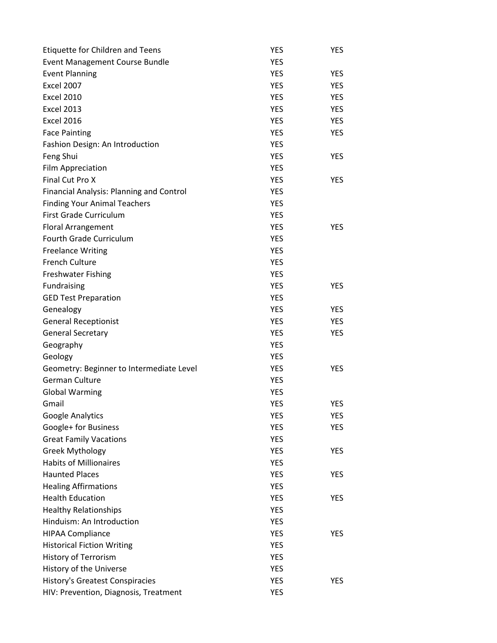| Etiquette for Children and Teens         | <b>YES</b> | YES        |
|------------------------------------------|------------|------------|
| <b>Event Management Course Bundle</b>    | <b>YES</b> |            |
| <b>Event Planning</b>                    | <b>YES</b> | <b>YES</b> |
| <b>Excel 2007</b>                        | <b>YES</b> | <b>YES</b> |
| <b>Excel 2010</b>                        | <b>YES</b> | <b>YES</b> |
| <b>Excel 2013</b>                        | <b>YES</b> | <b>YES</b> |
| <b>Excel 2016</b>                        | <b>YES</b> | <b>YES</b> |
| <b>Face Painting</b>                     | <b>YES</b> | <b>YES</b> |
| Fashion Design: An Introduction          | <b>YES</b> |            |
| Feng Shui                                | <b>YES</b> | <b>YES</b> |
| Film Appreciation                        | <b>YES</b> |            |
| Final Cut Pro X                          | <b>YES</b> | <b>YES</b> |
| Financial Analysis: Planning and Control | <b>YES</b> |            |
| <b>Finding Your Animal Teachers</b>      | <b>YES</b> |            |
| First Grade Curriculum                   | <b>YES</b> |            |
| <b>Floral Arrangement</b>                | <b>YES</b> | <b>YES</b> |
| Fourth Grade Curriculum                  | <b>YES</b> |            |
| <b>Freelance Writing</b>                 | <b>YES</b> |            |
| <b>French Culture</b>                    | <b>YES</b> |            |
| <b>Freshwater Fishing</b>                | <b>YES</b> |            |
| Fundraising                              | <b>YES</b> | <b>YES</b> |
| <b>GED Test Preparation</b>              | <b>YES</b> |            |
| Genealogy                                | <b>YES</b> | <b>YES</b> |
| <b>General Receptionist</b>              | <b>YES</b> | <b>YES</b> |
| <b>General Secretary</b>                 | <b>YES</b> | <b>YES</b> |
| Geography                                | <b>YES</b> |            |
| Geology                                  | <b>YES</b> |            |
| Geometry: Beginner to Intermediate Level | <b>YES</b> | <b>YES</b> |
| <b>German Culture</b>                    | <b>YES</b> |            |
| <b>Global Warming</b>                    | <b>YES</b> |            |
| Gmail                                    | <b>YES</b> | <b>YES</b> |
| Google Analytics                         | YES        | <b>YES</b> |
| Google+ for Business                     | <b>YES</b> | <b>YES</b> |
| <b>Great Family Vacations</b>            | <b>YES</b> |            |
| <b>Greek Mythology</b>                   | <b>YES</b> | <b>YES</b> |
| <b>Habits of Millionaires</b>            | <b>YES</b> |            |
| <b>Haunted Places</b>                    | <b>YES</b> | YES        |
| <b>Healing Affirmations</b>              | <b>YES</b> |            |
| <b>Health Education</b>                  | <b>YES</b> | <b>YES</b> |
| <b>Healthy Relationships</b>             | <b>YES</b> |            |
| Hinduism: An Introduction                | <b>YES</b> |            |
| <b>HIPAA Compliance</b>                  | <b>YES</b> | <b>YES</b> |
| <b>Historical Fiction Writing</b>        | <b>YES</b> |            |
| History of Terrorism                     | <b>YES</b> |            |
| History of the Universe                  | <b>YES</b> |            |
| <b>History's Greatest Conspiracies</b>   | <b>YES</b> | <b>YES</b> |
| HIV: Prevention, Diagnosis, Treatment    | <b>YES</b> |            |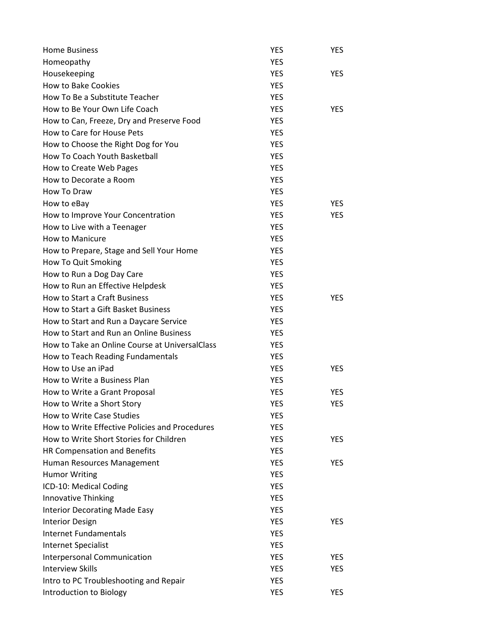| <b>Home Business</b>                            | YES        | YES        |
|-------------------------------------------------|------------|------------|
| Homeopathy                                      | <b>YES</b> |            |
| Housekeeping                                    | <b>YES</b> | <b>YES</b> |
| <b>How to Bake Cookies</b>                      | <b>YES</b> |            |
| How To Be a Substitute Teacher                  | <b>YES</b> |            |
| How to Be Your Own Life Coach                   | <b>YES</b> | <b>YES</b> |
| How to Can, Freeze, Dry and Preserve Food       | <b>YES</b> |            |
| How to Care for House Pets                      | <b>YES</b> |            |
| How to Choose the Right Dog for You             | <b>YES</b> |            |
| How To Coach Youth Basketball                   | <b>YES</b> |            |
| How to Create Web Pages                         | <b>YES</b> |            |
| How to Decorate a Room                          | <b>YES</b> |            |
| How To Draw                                     | <b>YES</b> |            |
| How to eBay                                     | <b>YES</b> | <b>YES</b> |
| How to Improve Your Concentration               | <b>YES</b> | <b>YES</b> |
| How to Live with a Teenager                     | <b>YES</b> |            |
| <b>How to Manicure</b>                          | <b>YES</b> |            |
| How to Prepare, Stage and Sell Your Home        | <b>YES</b> |            |
| How To Quit Smoking                             | <b>YES</b> |            |
| How to Run a Dog Day Care                       | <b>YES</b> |            |
| How to Run an Effective Helpdesk                | <b>YES</b> |            |
| How to Start a Craft Business                   | <b>YES</b> | YES        |
| How to Start a Gift Basket Business             | <b>YES</b> |            |
| How to Start and Run a Daycare Service          | YES        |            |
| How to Start and Run an Online Business         | YES        |            |
| How to Take an Online Course at Universal Class | YES        |            |
| How to Teach Reading Fundamentals               | <b>YES</b> |            |
| How to Use an iPad                              | YES        | YES        |
| How to Write a Business Plan                    | <b>YES</b> |            |
| How to Write a Grant Proposal                   | <b>YES</b> | <b>YES</b> |
| How to Write a Short Story                      | <b>YES</b> | YES        |
| How to Write Case Studies                       | YES        |            |
| How to Write Effective Policies and Procedures  | <b>YES</b> |            |
| How to Write Short Stories for Children         | <b>YES</b> | <b>YES</b> |
| HR Compensation and Benefits                    | <b>YES</b> |            |
| Human Resources Management                      | <b>YES</b> | <b>YES</b> |
| <b>Humor Writing</b>                            | <b>YES</b> |            |
| ICD-10: Medical Coding                          | <b>YES</b> |            |
| Innovative Thinking                             | <b>YES</b> |            |
| <b>Interior Decorating Made Easy</b>            | <b>YES</b> |            |
| <b>Interior Design</b>                          | <b>YES</b> | <b>YES</b> |
| <b>Internet Fundamentals</b>                    | <b>YES</b> |            |
| Internet Specialist                             | <b>YES</b> |            |
| Interpersonal Communication                     | <b>YES</b> | <b>YES</b> |
| <b>Interview Skills</b>                         | <b>YES</b> | YES        |
| Intro to PC Troubleshooting and Repair          | <b>YES</b> |            |
| Introduction to Biology                         | <b>YES</b> | YES        |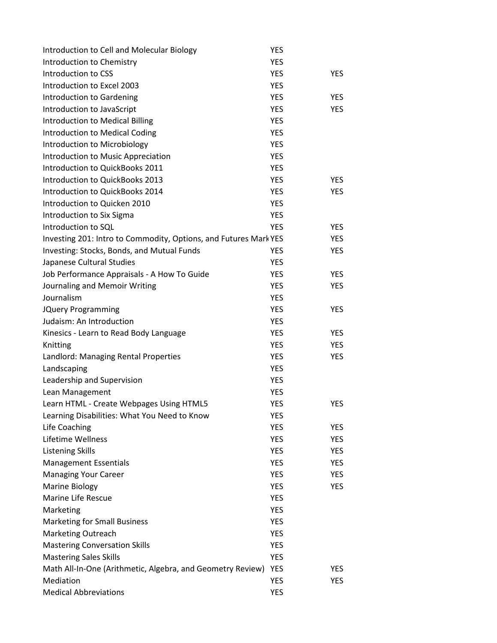| Introduction to Cell and Molecular Biology                       | <b>YES</b> |            |
|------------------------------------------------------------------|------------|------------|
| Introduction to Chemistry                                        | <b>YES</b> |            |
| Introduction to CSS                                              | <b>YES</b> | <b>YES</b> |
| Introduction to Excel 2003                                       | <b>YES</b> |            |
| Introduction to Gardening                                        | <b>YES</b> | <b>YES</b> |
| Introduction to JavaScript                                       | <b>YES</b> | <b>YES</b> |
| <b>Introduction to Medical Billing</b>                           | <b>YES</b> |            |
| Introduction to Medical Coding                                   | <b>YES</b> |            |
| Introduction to Microbiology                                     | <b>YES</b> |            |
| Introduction to Music Appreciation                               | <b>YES</b> |            |
| Introduction to QuickBooks 2011                                  | <b>YES</b> |            |
| Introduction to QuickBooks 2013                                  | <b>YES</b> | <b>YES</b> |
| Introduction to QuickBooks 2014                                  | <b>YES</b> | <b>YES</b> |
| Introduction to Quicken 2010                                     | <b>YES</b> |            |
| Introduction to Six Sigma                                        | <b>YES</b> |            |
| Introduction to SQL                                              | <b>YES</b> | <b>YES</b> |
| Investing 201: Intro to Commodity, Options, and Futures Mark YES |            | <b>YES</b> |
| Investing: Stocks, Bonds, and Mutual Funds                       | <b>YES</b> | <b>YES</b> |
| Japanese Cultural Studies                                        | <b>YES</b> |            |
| Job Performance Appraisals - A How To Guide                      | <b>YES</b> | <b>YES</b> |
| Journaling and Memoir Writing                                    | <b>YES</b> | <b>YES</b> |
| Journalism                                                       | <b>YES</b> |            |
| <b>JQuery Programming</b>                                        | <b>YES</b> | <b>YES</b> |
| Judaism: An Introduction                                         | <b>YES</b> |            |
| Kinesics - Learn to Read Body Language                           | <b>YES</b> | <b>YES</b> |
| Knitting                                                         | <b>YES</b> | <b>YES</b> |
| Landlord: Managing Rental Properties                             | <b>YES</b> | <b>YES</b> |
| Landscaping                                                      | <b>YES</b> |            |
| Leadership and Supervision                                       | <b>YES</b> |            |
| Lean Management                                                  | <b>YES</b> |            |
| Learn HTML - Create Webpages Using HTML5                         | <b>YES</b> | <b>YES</b> |
| Learning Disabilities: What You Need to Know                     | YES        |            |
| Life Coaching                                                    | <b>YES</b> | <b>YES</b> |
| Lifetime Wellness                                                | <b>YES</b> | <b>YES</b> |
| <b>Listening Skills</b>                                          | <b>YES</b> | <b>YES</b> |
| <b>Management Essentials</b>                                     | <b>YES</b> | <b>YES</b> |
| <b>Managing Your Career</b>                                      | <b>YES</b> | <b>YES</b> |
| <b>Marine Biology</b>                                            | <b>YES</b> | <b>YES</b> |
| Marine Life Rescue                                               | <b>YES</b> |            |
| Marketing                                                        | <b>YES</b> |            |
| <b>Marketing for Small Business</b>                              | <b>YES</b> |            |
| <b>Marketing Outreach</b>                                        | <b>YES</b> |            |
| <b>Mastering Conversation Skills</b>                             | <b>YES</b> |            |
| <b>Mastering Sales Skills</b>                                    | <b>YES</b> |            |
| Math All-In-One (Arithmetic, Algebra, and Geometry Review)       | <b>YES</b> | <b>YES</b> |
| Mediation                                                        | <b>YES</b> | <b>YES</b> |
| <b>Medical Abbreviations</b>                                     | <b>YES</b> |            |
|                                                                  |            |            |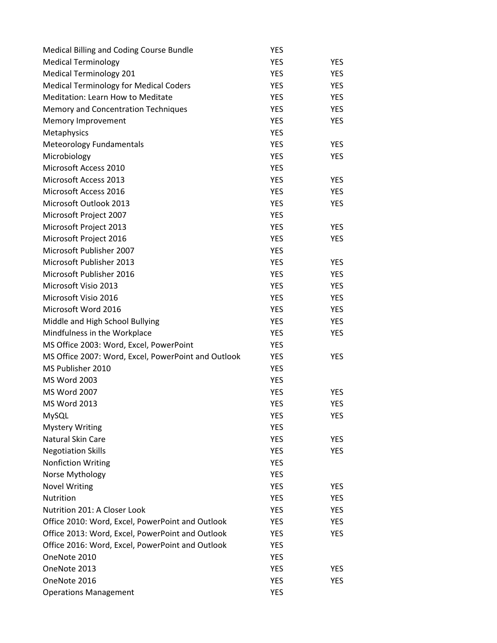| Medical Billing and Coding Course Bundle            | YES        |            |
|-----------------------------------------------------|------------|------------|
| <b>Medical Terminology</b>                          | <b>YES</b> | <b>YES</b> |
| <b>Medical Terminology 201</b>                      | <b>YES</b> | <b>YES</b> |
| <b>Medical Terminology for Medical Coders</b>       | <b>YES</b> | <b>YES</b> |
| <b>Meditation: Learn How to Meditate</b>            | YES        | <b>YES</b> |
| <b>Memory and Concentration Techniques</b>          | <b>YES</b> | <b>YES</b> |
| Memory Improvement                                  | <b>YES</b> | <b>YES</b> |
| Metaphysics                                         | <b>YES</b> |            |
| <b>Meteorology Fundamentals</b>                     | <b>YES</b> | <b>YES</b> |
| Microbiology                                        | <b>YES</b> | <b>YES</b> |
| Microsoft Access 2010                               | <b>YES</b> |            |
| Microsoft Access 2013                               | <b>YES</b> | <b>YES</b> |
| Microsoft Access 2016                               | <b>YES</b> | <b>YES</b> |
| Microsoft Outlook 2013                              | <b>YES</b> | <b>YES</b> |
| Microsoft Project 2007                              | <b>YES</b> |            |
| Microsoft Project 2013                              | <b>YES</b> | <b>YES</b> |
| Microsoft Project 2016                              | <b>YES</b> | <b>YES</b> |
| Microsoft Publisher 2007                            | <b>YES</b> |            |
| Microsoft Publisher 2013                            | <b>YES</b> | <b>YES</b> |
| Microsoft Publisher 2016                            | <b>YES</b> | <b>YES</b> |
| Microsoft Visio 2013                                | <b>YES</b> | <b>YES</b> |
| Microsoft Visio 2016                                | <b>YES</b> | <b>YES</b> |
| Microsoft Word 2016                                 | <b>YES</b> | <b>YES</b> |
| Middle and High School Bullying                     | YES        | <b>YES</b> |
| Mindfulness in the Workplace                        | <b>YES</b> | <b>YES</b> |
| MS Office 2003: Word, Excel, PowerPoint             | <b>YES</b> |            |
| MS Office 2007: Word, Excel, PowerPoint and Outlook | <b>YES</b> | <b>YES</b> |
| MS Publisher 2010                                   | <b>YES</b> |            |
| <b>MS Word 2003</b>                                 | <b>YES</b> |            |
| <b>MS Word 2007</b>                                 | <b>YES</b> | <b>YES</b> |
| <b>MS Word 2013</b>                                 | <b>YES</b> | <b>YES</b> |
| MySQL                                               | YES        | YES        |
| <b>Mystery Writing</b>                              | <b>YES</b> |            |
| Natural Skin Care                                   | <b>YES</b> | <b>YES</b> |
| <b>Negotiation Skills</b>                           | <b>YES</b> | <b>YES</b> |
| <b>Nonfiction Writing</b>                           | YES        |            |
| Norse Mythology                                     | <b>YES</b> |            |
| <b>Novel Writing</b>                                | <b>YES</b> | YES        |
| <b>Nutrition</b>                                    | <b>YES</b> | <b>YES</b> |
| Nutrition 201: A Closer Look                        | <b>YES</b> | <b>YES</b> |
| Office 2010: Word, Excel, PowerPoint and Outlook    | YES        | <b>YES</b> |
| Office 2013: Word, Excel, PowerPoint and Outlook    | YES        | <b>YES</b> |
| Office 2016: Word, Excel, PowerPoint and Outlook    | YES        |            |
| OneNote 2010                                        | <b>YES</b> |            |
| OneNote 2013                                        | <b>YES</b> | <b>YES</b> |
| OneNote 2016                                        | <b>YES</b> | <b>YES</b> |
| <b>Operations Management</b>                        | <b>YES</b> |            |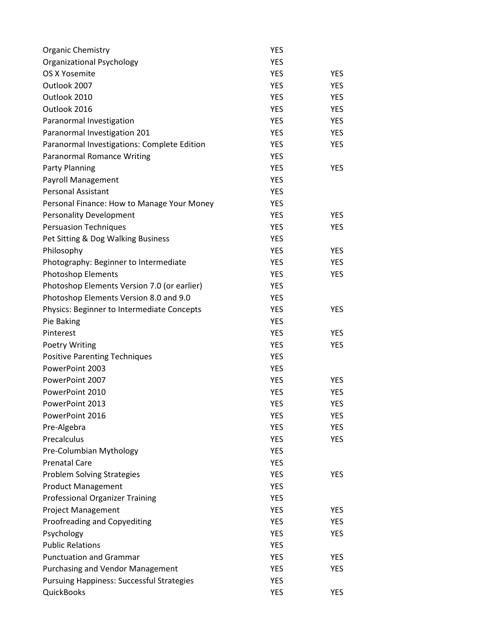| <b>Organic Chemistry</b>                         | <b>YES</b> |            |
|--------------------------------------------------|------------|------------|
| <b>Organizational Psychology</b>                 | <b>YES</b> |            |
| OS X Yosemite                                    | <b>YES</b> | <b>YES</b> |
| Outlook 2007                                     | <b>YES</b> | <b>YES</b> |
| Outlook 2010                                     | <b>YES</b> | <b>YES</b> |
| Outlook 2016                                     | <b>YES</b> | <b>YES</b> |
| Paranormal Investigation                         | <b>YES</b> | <b>YES</b> |
| Paranormal Investigation 201                     | <b>YES</b> | <b>YES</b> |
| Paranormal Investigations: Complete Edition      | <b>YES</b> | <b>YES</b> |
| <b>Paranormal Romance Writing</b>                | <b>YES</b> |            |
| Party Planning                                   | <b>YES</b> | <b>YES</b> |
| Payroll Management                               | <b>YES</b> |            |
| <b>Personal Assistant</b>                        | <b>YES</b> |            |
| Personal Finance: How to Manage Your Money       | <b>YES</b> |            |
| <b>Personality Development</b>                   | <b>YES</b> | <b>YES</b> |
| <b>Persuasion Techniques</b>                     | <b>YES</b> | <b>YES</b> |
| Pet Sitting & Dog Walking Business               | <b>YES</b> |            |
| Philosophy                                       | <b>YES</b> | <b>YES</b> |
| Photography: Beginner to Intermediate            | <b>YES</b> | <b>YES</b> |
| <b>Photoshop Elements</b>                        | <b>YES</b> | <b>YES</b> |
| Photoshop Elements Version 7.0 (or earlier)      | <b>YES</b> |            |
| Photoshop Elements Version 8.0 and 9.0           | <b>YES</b> |            |
| Physics: Beginner to Intermediate Concepts       | <b>YES</b> | <b>YES</b> |
| Pie Baking                                       | <b>YES</b> |            |
| Pinterest                                        | <b>YES</b> | <b>YES</b> |
| <b>Poetry Writing</b>                            | <b>YES</b> | <b>YES</b> |
| <b>Positive Parenting Techniques</b>             | <b>YES</b> |            |
| PowerPoint 2003                                  | <b>YES</b> |            |
| PowerPoint 2007                                  | <b>YES</b> | <b>YES</b> |
| PowerPoint 2010                                  | <b>YES</b> | <b>YES</b> |
| PowerPoint 2013                                  | <b>YES</b> | <b>YES</b> |
| PowerPoint 2016                                  | YES        | YES        |
| Pre-Algebra                                      | <b>YES</b> | <b>YES</b> |
| Precalculus                                      | <b>YES</b> | <b>YES</b> |
| Pre-Columbian Mythology                          | <b>YES</b> |            |
| <b>Prenatal Care</b>                             | <b>YES</b> |            |
| <b>Problem Solving Strategies</b>                | <b>YES</b> | <b>YES</b> |
| <b>Product Management</b>                        | <b>YES</b> |            |
| <b>Professional Organizer Training</b>           | <b>YES</b> |            |
| <b>Project Management</b>                        | <b>YES</b> | <b>YES</b> |
| Proofreading and Copyediting                     | <b>YES</b> | <b>YES</b> |
| Psychology                                       | <b>YES</b> | <b>YES</b> |
| <b>Public Relations</b>                          | <b>YES</b> |            |
| <b>Punctuation and Grammar</b>                   | <b>YES</b> | <b>YES</b> |
| <b>Purchasing and Vendor Management</b>          | <b>YES</b> | <b>YES</b> |
| <b>Pursuing Happiness: Successful Strategies</b> | <b>YES</b> |            |
| <b>QuickBooks</b>                                | <b>YES</b> | <b>YES</b> |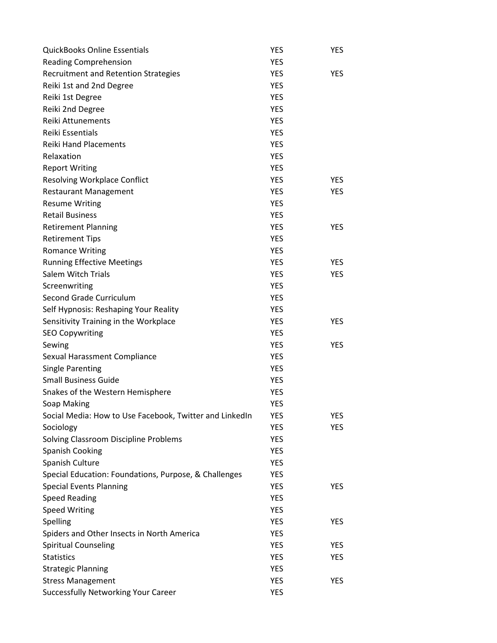| <b>QuickBooks Online Essentials</b>                     | YES        | <b>YES</b> |
|---------------------------------------------------------|------------|------------|
| <b>Reading Comprehension</b>                            | <b>YES</b> |            |
| <b>Recruitment and Retention Strategies</b>             | <b>YES</b> | <b>YES</b> |
| Reiki 1st and 2nd Degree                                | <b>YES</b> |            |
| Reiki 1st Degree                                        | <b>YES</b> |            |
| Reiki 2nd Degree                                        | <b>YES</b> |            |
| Reiki Attunements                                       | <b>YES</b> |            |
| Reiki Essentials                                        | <b>YES</b> |            |
| <b>Reiki Hand Placements</b>                            | <b>YES</b> |            |
| Relaxation                                              | <b>YES</b> |            |
| <b>Report Writing</b>                                   | <b>YES</b> |            |
| <b>Resolving Workplace Conflict</b>                     | <b>YES</b> | <b>YES</b> |
| <b>Restaurant Management</b>                            | <b>YES</b> | <b>YES</b> |
| <b>Resume Writing</b>                                   | <b>YES</b> |            |
| <b>Retail Business</b>                                  | <b>YES</b> |            |
| <b>Retirement Planning</b>                              | <b>YES</b> | <b>YES</b> |
| <b>Retirement Tips</b>                                  | <b>YES</b> |            |
| <b>Romance Writing</b>                                  | <b>YES</b> |            |
| <b>Running Effective Meetings</b>                       | <b>YES</b> | <b>YES</b> |
| <b>Salem Witch Trials</b>                               | <b>YES</b> | <b>YES</b> |
| Screenwriting                                           | <b>YES</b> |            |
| Second Grade Curriculum                                 | <b>YES</b> |            |
| Self Hypnosis: Reshaping Your Reality                   | <b>YES</b> |            |
| Sensitivity Training in the Workplace                   | <b>YES</b> | <b>YES</b> |
| <b>SEO Copywriting</b>                                  | <b>YES</b> |            |
| Sewing                                                  | <b>YES</b> | <b>YES</b> |
| Sexual Harassment Compliance                            | <b>YES</b> |            |
| <b>Single Parenting</b>                                 | YES        |            |
| <b>Small Business Guide</b>                             | <b>YES</b> |            |
| Snakes of the Western Hemisphere                        | <b>YES</b> |            |
| Soap Making                                             | <b>YES</b> |            |
| Social Media: How to Use Facebook, Twitter and LinkedIn | YES        | <b>YES</b> |
| Sociology                                               | <b>YES</b> | <b>YES</b> |
| Solving Classroom Discipline Problems                   | YES        |            |
| Spanish Cooking                                         | <b>YES</b> |            |
| Spanish Culture                                         | YES        |            |
| Special Education: Foundations, Purpose, & Challenges   | YES        |            |
| <b>Special Events Planning</b>                          | <b>YES</b> | <b>YES</b> |
| <b>Speed Reading</b>                                    | <b>YES</b> |            |
| <b>Speed Writing</b>                                    | <b>YES</b> |            |
| Spelling                                                | <b>YES</b> | <b>YES</b> |
| Spiders and Other Insects in North America              | <b>YES</b> |            |
| Spiritual Counseling                                    | <b>YES</b> | <b>YES</b> |
| <b>Statistics</b>                                       | <b>YES</b> | <b>YES</b> |
| <b>Strategic Planning</b>                               | <b>YES</b> |            |
| <b>Stress Management</b>                                | <b>YES</b> | <b>YES</b> |
| <b>Successfully Networking Your Career</b>              | YES        |            |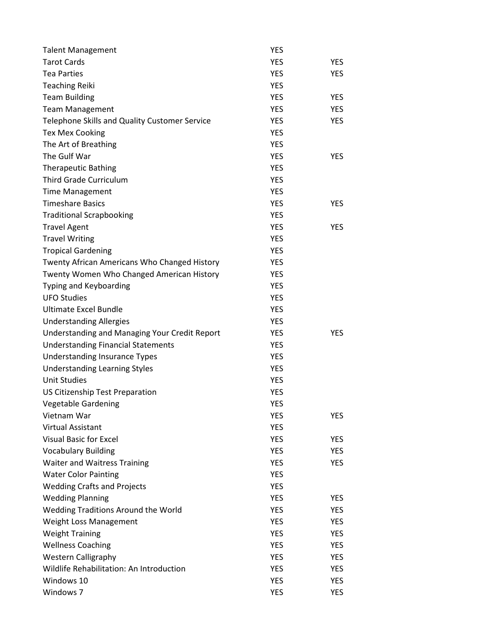| <b>Talent Management</b>                             | YES        |            |
|------------------------------------------------------|------------|------------|
| <b>Tarot Cards</b>                                   | <b>YES</b> | <b>YES</b> |
| <b>Tea Parties</b>                                   | <b>YES</b> | <b>YES</b> |
| <b>Teaching Reiki</b>                                | <b>YES</b> |            |
| <b>Team Building</b>                                 | <b>YES</b> | <b>YES</b> |
| <b>Team Management</b>                               | <b>YES</b> | <b>YES</b> |
| Telephone Skills and Quality Customer Service        | <b>YES</b> | <b>YES</b> |
| <b>Tex Mex Cooking</b>                               | <b>YES</b> |            |
| The Art of Breathing                                 | <b>YES</b> |            |
| The Gulf War                                         | <b>YES</b> | <b>YES</b> |
| <b>Therapeutic Bathing</b>                           | <b>YES</b> |            |
| <b>Third Grade Curriculum</b>                        | <b>YES</b> |            |
| <b>Time Management</b>                               | <b>YES</b> |            |
| <b>Timeshare Basics</b>                              | <b>YES</b> | <b>YES</b> |
| <b>Traditional Scrapbooking</b>                      | <b>YES</b> |            |
| <b>Travel Agent</b>                                  | <b>YES</b> | <b>YES</b> |
| <b>Travel Writing</b>                                | <b>YES</b> |            |
| <b>Tropical Gardening</b>                            | <b>YES</b> |            |
| Twenty African Americans Who Changed History         | <b>YES</b> |            |
| Twenty Women Who Changed American History            | <b>YES</b> |            |
| Typing and Keyboarding                               | <b>YES</b> |            |
| <b>UFO Studies</b>                                   | <b>YES</b> |            |
| <b>Ultimate Excel Bundle</b>                         | <b>YES</b> |            |
| <b>Understanding Allergies</b>                       | <b>YES</b> |            |
| <b>Understanding and Managing Your Credit Report</b> | <b>YES</b> | <b>YES</b> |
| <b>Understanding Financial Statements</b>            | <b>YES</b> |            |
| <b>Understanding Insurance Types</b>                 | <b>YES</b> |            |
| <b>Understanding Learning Styles</b>                 | <b>YES</b> |            |
| <b>Unit Studies</b>                                  | <b>YES</b> |            |
| US Citizenship Test Preparation                      | <b>YES</b> |            |
| Vegetable Gardening                                  | <b>YES</b> |            |
| Vietnam War                                          | YES        | YES        |
| Virtual Assistant                                    | <b>YES</b> |            |
| <b>Visual Basic for Excel</b>                        | <b>YES</b> | <b>YES</b> |
| <b>Vocabulary Building</b>                           | <b>YES</b> | <b>YES</b> |
| <b>Waiter and Waitress Training</b>                  | <b>YES</b> | <b>YES</b> |
| <b>Water Color Painting</b>                          | <b>YES</b> |            |
| <b>Wedding Crafts and Projects</b>                   | <b>YES</b> |            |
| <b>Wedding Planning</b>                              | <b>YES</b> | <b>YES</b> |
| Wedding Traditions Around the World                  | <b>YES</b> | <b>YES</b> |
| Weight Loss Management                               | <b>YES</b> | <b>YES</b> |
| <b>Weight Training</b>                               | <b>YES</b> | <b>YES</b> |
| <b>Wellness Coaching</b>                             | <b>YES</b> | <b>YES</b> |
| <b>Western Calligraphy</b>                           | <b>YES</b> | <b>YES</b> |
| Wildlife Rehabilitation: An Introduction             | <b>YES</b> | <b>YES</b> |
| Windows 10                                           | <b>YES</b> | <b>YES</b> |
| Windows 7                                            | <b>YES</b> | <b>YES</b> |